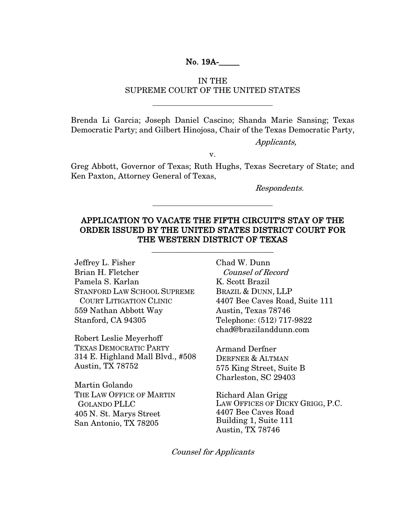### No. 19A-\_\_\_\_\_

### IN THE SUPREME COURT OF THE UNITED STATES

Brenda Li Garcia; Joseph Daniel Cascino; Shanda Marie Sansing; Texas Democratic Party; and Gilbert Hinojosa, Chair of the Texas Democratic Party,

Applicants,

v.

Greg Abbott, Governor of Texas; Ruth Hughs, Texas Secretary of State; and Ken Paxton, Attorney General of Texas,

Respondents.

### APPLICATION TO VACATE THE FIFTH CIRCUIT'S STAY OF THE ORDER ISSUED BY THE UNITED STATES DISTRICT COURT FOR THE WESTERN DISTRICT OF TEXAS

\_\_\_\_\_\_\_\_\_\_\_\_\_\_\_\_\_\_\_\_\_\_\_\_\_\_\_\_\_\_\_

Jeffrey L. Fisher Brian H. Fletcher Pamela S. Karlan STANFORD LAW SCHOOL SUPREME COURT LITIGATION CLINIC 559 Nathan Abbott Way Stanford, CA 94305

Robert Leslie Meyerhoff TEXAS DEMOCRATIC PARTY 314 E. Highland Mall Blvd., #508 Austin, TX 78752

Martin Golando THE LAW OFFICE OF MARTIN GOLANDO PLLC 405 N. St. Marys Street San Antonio, TX 78205

Chad W. Dunn Counsel of Record K. Scott Brazil BRAZIL & DUNN, LLP 4407 Bee Caves Road, Suite 111 Austin, Texas 78746 Telephone: (512) 717-9822 chad@brazilanddunn.com

Armand Derfner DERFNER & ALTMAN 575 King Street, Suite B Charleston, SC 29403

Richard Alan Grigg LAW OFFICES OF DICKY GRIGG, P.C. 4407 Bee Caves Road Building 1, Suite 111 Austin, TX 78746

Counsel for Applicants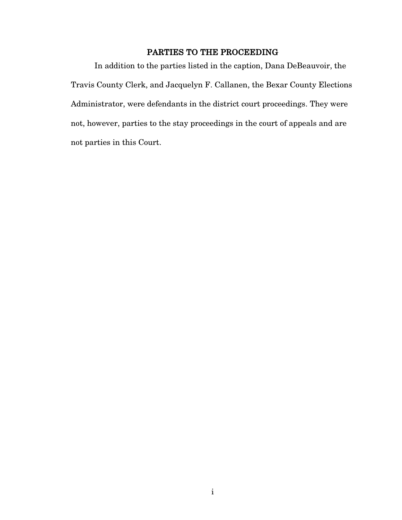## PARTIES TO THE PROCEEDING

In addition to the parties listed in the caption, Dana DeBeauvoir, the Travis County Clerk, and Jacquelyn F. Callanen, the Bexar County Elections Administrator, were defendants in the district court proceedings. They were not, however, parties to the stay proceedings in the court of appeals and are not parties in this Court.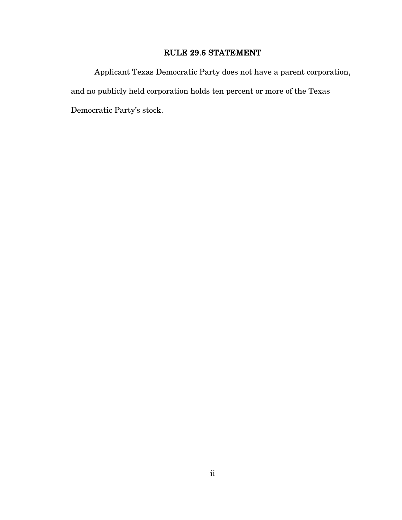## RULE 29.6 STATEMENT

Applicant Texas Democratic Party does not have a parent corporation, and no publicly held corporation holds ten percent or more of the Texas Democratic Party's stock.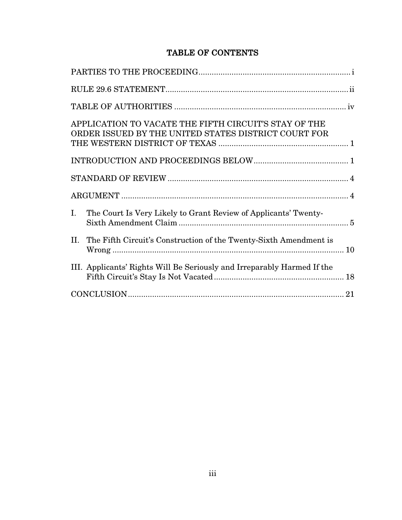# TABLE OF CONTENTS

| APPLICATION TO VACATE THE FIFTH CIRCUIT'S STAY OF THE<br>ORDER ISSUED BY THE UNITED STATES DISTRICT COURT FOR |  |
|---------------------------------------------------------------------------------------------------------------|--|
|                                                                                                               |  |
|                                                                                                               |  |
|                                                                                                               |  |
| The Court Is Very Likely to Grant Review of Applicants' Twenty-<br>Ι.                                         |  |
| The Fifth Circuit's Construction of the Twenty-Sixth Amendment is<br>II.                                      |  |
| III. Applicants' Rights Will Be Seriously and Irreparably Harmed If the                                       |  |
|                                                                                                               |  |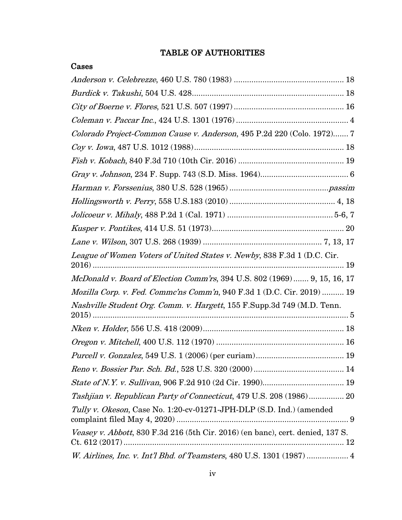# TABLE OF AUTHORITIES

| Cases                                                                          |
|--------------------------------------------------------------------------------|
|                                                                                |
|                                                                                |
|                                                                                |
|                                                                                |
| Colorado Project-Common Cause v. Anderson, 495 P.2d 220 (Colo. 1972) 7         |
|                                                                                |
|                                                                                |
|                                                                                |
|                                                                                |
|                                                                                |
|                                                                                |
|                                                                                |
|                                                                                |
| League of Women Voters of United States v. Newby, 838 F.3d 1 (D.C. Cir.        |
| McDonald v. Board of Election Comm'rs, 394 U.S. 802 (1969) 9, 15, 16, 17       |
| Mozilla Corp. v. Fed. Commc'ns Comm'n, 940 F.3d 1 (D.C. Cir. 2019)  19         |
| Nashville Student Org. Comm. v. Hargett, 155 F.Supp.3d 749 (M.D. Tenn.         |
|                                                                                |
|                                                                                |
|                                                                                |
|                                                                                |
|                                                                                |
| Tashijan v. Republican Party of Connecticut, 479 U.S. 208 (1986) 20            |
| Tully v. Okeson, Case No. 1:20-cv-01271-JPH-DLP (S.D. Ind.) (amended           |
| Veasey v. Abbott, 830 F.3d 216 (5th Cir. 2016) (en banc), cert. denied, 137 S. |
| W. Airlines, Inc. v. Int'l Bhd. of Teamsters, 480 U.S. 1301 (1987)  4          |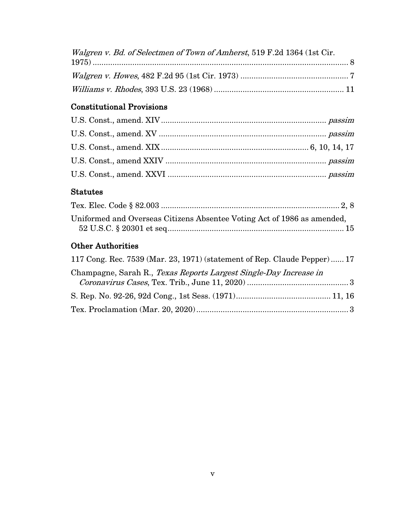| Walgren v. Bd. of Selectmen of Town of Amherst, 519 F.2d 1364 (1st Cir. |  |
|-------------------------------------------------------------------------|--|
|                                                                         |  |
|                                                                         |  |

# Constitutional Provisions

## Statutes

| Uniformed and Overseas Citizens Absentee Voting Act of 1986 as amended, |  |
|-------------------------------------------------------------------------|--|
|                                                                         |  |

# Other Authorities

| 117 Cong. Rec. 7539 (Mar. 23, 1971) (statement of Rep. Claude Pepper) 17 |  |
|--------------------------------------------------------------------------|--|
| Champagne, Sarah R., Texas Reports Largest Single-Day Increase in        |  |
|                                                                          |  |
|                                                                          |  |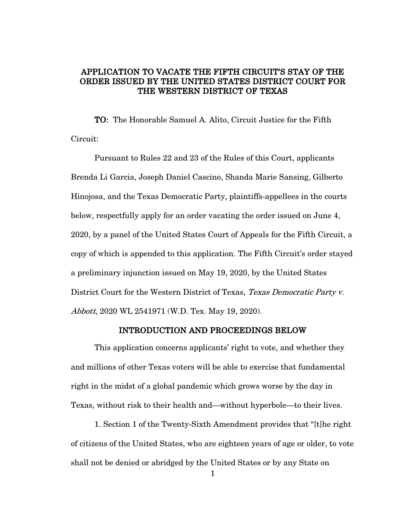### APPLICATION TO VACATE THE FIFTH CIRCUIT'S STAY OF THE ORDER ISSUED BY THE UNITED STATES DISTRICT COURT FOR THE WESTERN DISTRICT OF TEXAS

TO: The Honorable Samuel A. Alito, Circuit Justice for the Fifth Circuit:

Pursuant to Rules 22 and 23 of the Rules of this Court, applicants Brenda Li Garcia, Joseph Daniel Cascino, Shanda Marie Sansing, Gilberto Hinojosa, and the Texas Democratic Party, plaintiffs-appellees in the courts below, respectfully apply for an order vacating the order issued on June 4, 2020, by a panel of the United States Court of Appeals for the Fifth Circuit, a copy of which is appended to this application. The Fifth Circuit's order stayed a preliminary injunction issued on May 19, 2020, by the United States District Court for the Western District of Texas, Texas Democratic Party v. Abbott, 2020 WL 2541971 (W.D. Tex. May 19, 2020).

### INTRODUCTION AND PROCEEDINGS BELOW

This application concerns applicants' right to vote, and whether they and millions of other Texas voters will be able to exercise that fundamental right in the midst of a global pandemic which grows worse by the day in Texas, without risk to their health and—without hyperbole—to their lives.

1. Section 1 of the Twenty-Sixth Amendment provides that "[t]he right of citizens of the United States, who are eighteen years of age or older, to vote shall not be denied or abridged by the United States or by any State on

1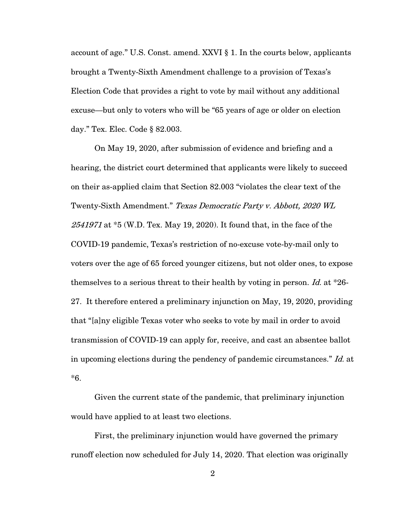account of age." U.S. Const. amend. XXVI § 1. In the courts below, applicants brought a Twenty-Sixth Amendment challenge to a provision of Texas's Election Code that provides a right to vote by mail without any additional excuse—but only to voters who will be "65 years of age or older on election day." Tex. Elec. Code § 82.003.

On May 19, 2020, after submission of evidence and briefing and a hearing, the district court determined that applicants were likely to succeed on their as-applied claim that Section 82.003 "violates the clear text of the Twenty-Sixth Amendment." Texas Democratic Party v. Abbott, 2020 WL  $2541971$  at  $*5$  (W.D. Tex. May 19, 2020). It found that, in the face of the COVID-19 pandemic, Texas's restriction of no-excuse vote-by-mail only to voters over the age of 65 forced younger citizens, but not older ones, to expose themselves to a serious threat to their health by voting in person. Id. at  $*26$ -27. It therefore entered a preliminary injunction on May, 19, 2020, providing that "[a]ny eligible Texas voter who seeks to vote by mail in order to avoid transmission of COVID-19 can apply for, receive, and cast an absentee ballot in upcoming elections during the pendency of pandemic circumstances." Id. at \*6.

Given the current state of the pandemic, that preliminary injunction would have applied to at least two elections.

First, the preliminary injunction would have governed the primary runoff election now scheduled for July 14, 2020. That election was originally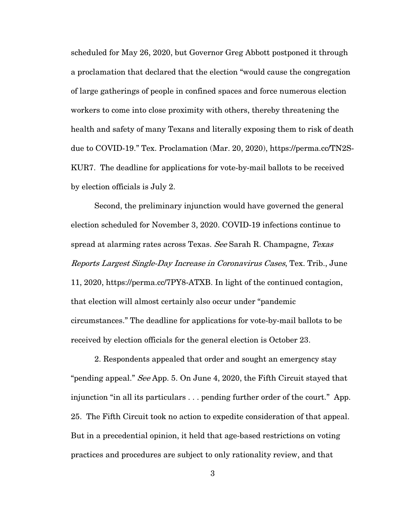scheduled for May 26, 2020, but Governor Greg Abbott postponed it through a proclamation that declared that the election "would cause the congregation of large gatherings of people in confined spaces and force numerous election workers to come into close proximity with others, thereby threatening the health and safety of many Texans and literally exposing them to risk of death due to COVID-19." Tex. Proclamation (Mar. 20, 2020), https://perma.cc/TN2S-KUR7. The deadline for applications for vote-by-mail ballots to be received by election officials is July 2.

Second, the preliminary injunction would have governed the general election scheduled for November 3, 2020. COVID-19 infections continue to spread at alarming rates across Texas. See Sarah R. Champagne, Texas Reports Largest Single-Day Increase in Coronavirus Cases, Tex. Trib., June 11, 2020, https://perma.cc/7PY8-ATXB. In light of the continued contagion, that election will almost certainly also occur under "pandemic circumstances." The deadline for applications for vote-by-mail ballots to be received by election officials for the general election is October 23.

2. Respondents appealed that order and sought an emergency stay "pending appeal." See App. 5. On June 4, 2020, the Fifth Circuit stayed that injunction "in all its particulars . . . pending further order of the court." App. 25. The Fifth Circuit took no action to expedite consideration of that appeal. But in a precedential opinion, it held that age-based restrictions on voting practices and procedures are subject to only rationality review, and that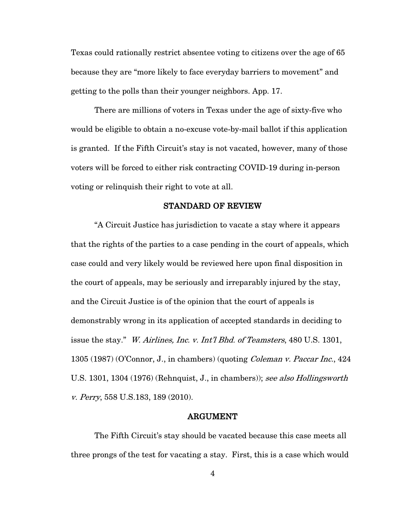Texas could rationally restrict absentee voting to citizens over the age of 65 because they are "more likely to face everyday barriers to movement" and getting to the polls than their younger neighbors. App. 17.

There are millions of voters in Texas under the age of sixty-five who would be eligible to obtain a no-excuse vote-by-mail ballot if this application is granted. If the Fifth Circuit's stay is not vacated, however, many of those voters will be forced to either risk contracting COVID-19 during in-person voting or relinquish their right to vote at all.

### STANDARD OF REVIEW

"A Circuit Justice has jurisdiction to vacate a stay where it appears that the rights of the parties to a case pending in the court of appeals, which case could and very likely would be reviewed here upon final disposition in the court of appeals, may be seriously and irreparably injured by the stay, and the Circuit Justice is of the opinion that the court of appeals is demonstrably wrong in its application of accepted standards in deciding to issue the stay." W. Airlines, Inc. v. Int'l Bhd. of Teamsters, 480 U.S. 1301, 1305 (1987) (O'Connor, J., in chambers) (quoting Coleman v. Paccar Inc., 424 U.S. 1301, 1304 (1976) (Rehnquist, J., in chambers)); see also Hollingsworth v. Perry, 558 U.S.183, 189 (2010).

#### ARGUMENT

The Fifth Circuit's stay should be vacated because this case meets all three prongs of the test for vacating a stay. First, this is a case which would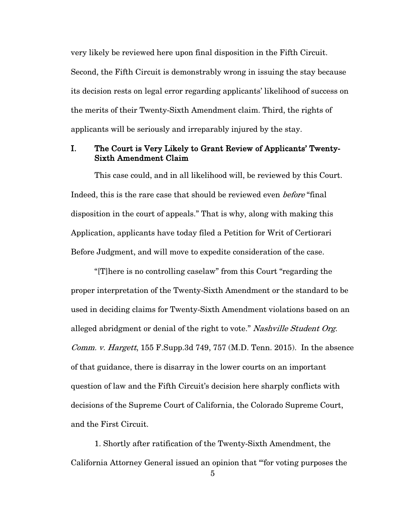very likely be reviewed here upon final disposition in the Fifth Circuit. Second, the Fifth Circuit is demonstrably wrong in issuing the stay because its decision rests on legal error regarding applicants' likelihood of success on the merits of their Twenty-Sixth Amendment claim. Third, the rights of applicants will be seriously and irreparably injured by the stay.

### I. The Court is Very Likely to Grant Review of Applicants' Twenty-Sixth Amendment Claim

This case could, and in all likelihood will, be reviewed by this Court. Indeed, this is the rare case that should be reviewed even *before* "final" disposition in the court of appeals." That is why, along with making this Application, applicants have today filed a Petition for Writ of Certiorari Before Judgment, and will move to expedite consideration of the case.

"[T]here is no controlling caselaw" from this Court "regarding the proper interpretation of the Twenty-Sixth Amendment or the standard to be used in deciding claims for Twenty-Sixth Amendment violations based on an alleged abridgment or denial of the right to vote." Nashville Student Org. *Comm. v. Hargett*,  $155$  F.Supp.3d  $749$ ,  $757$  (M.D. Tenn. 2015). In the absence of that guidance, there is disarray in the lower courts on an important question of law and the Fifth Circuit's decision here sharply conflicts with decisions of the Supreme Court of California, the Colorado Supreme Court, and the First Circuit.

1. Shortly after ratification of the Twenty-Sixth Amendment, the California Attorney General issued an opinion that "'for voting purposes the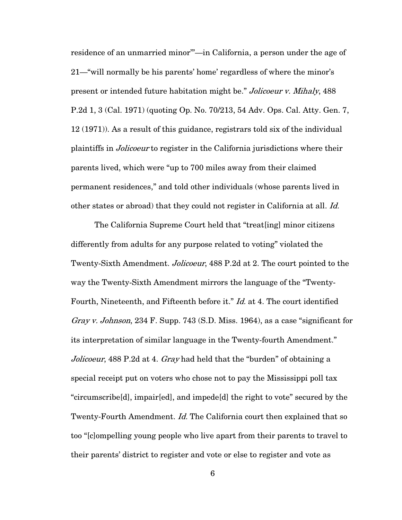residence of an unmarried minor'"—in California, a person under the age of 21—"will normally be his parents' home' regardless of where the minor's present or intended future habitation might be." Jolicoeur v. Mihaly, 488 P.2d 1, 3 (Cal. 1971) (quoting Op. No. 70/213, 54 Adv. Ops. Cal. Atty. Gen. 7, 12 (1971)). As a result of this guidance, registrars told six of the individual plaintiffs in Jolicoeur to register in the California jurisdictions where their parents lived, which were "up to 700 miles away from their claimed permanent residences," and told other individuals (whose parents lived in other states or abroad) that they could not register in California at all. Id.

The California Supreme Court held that "treat[ing] minor citizens differently from adults for any purpose related to voting" violated the Twenty-Sixth Amendment. *Jolicoeur*, 488 P.2d at 2. The court pointed to the way the Twenty-Sixth Amendment mirrors the language of the "Twenty-Fourth, Nineteenth, and Fifteenth before it." *Id.* at 4. The court identified Gray v. Johnson, 234 F. Supp. 743 (S.D. Miss. 1964), as a case "significant for its interpretation of similar language in the Twenty-fourth Amendment." Jolicoeur, 488 P.2d at 4. Gray had held that the "burden" of obtaining a special receipt put on voters who chose not to pay the Mississippi poll tax "circumscribe[d], impair[ed], and impede[d] the right to vote" secured by the Twenty-Fourth Amendment. *Id.* The California court then explained that so too "[c]ompelling young people who live apart from their parents to travel to their parents' district to register and vote or else to register and vote as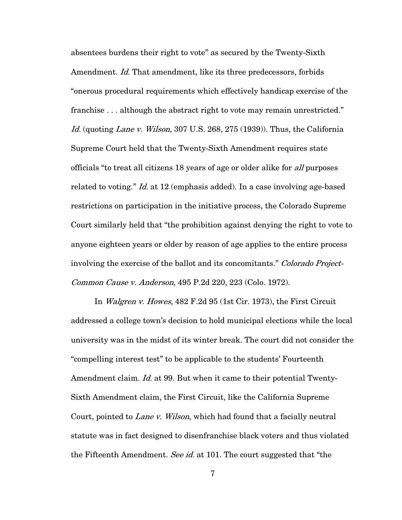absentees burdens their right to vote" as secured by the Twenty-Sixth Amendment. *Id.* That amendment, like its three predecessors, forbids "onerous procedural requirements which effectively handicap exercise of the franchise . . . although the abstract right to vote may remain unrestricted." Id. (quoting Lane v. Wilson, 307 U.S. 268, 275 (1939)). Thus, the California Supreme Court held that the Twenty-Sixth Amendment requires state officials "to treat all citizens 18 years of age or older alike for all purposes related to voting." *Id.* at 12 (emphasis added). In a case involving age-based restrictions on participation in the initiative process, the Colorado Supreme Court similarly held that "the prohibition against denying the right to vote to anyone eighteen years or older by reason of age applies to the entire process involving the exercise of the ballot and its concomitants." Colorado Project-Common Cause v. Anderson, 495 P.2d 220, 223 (Colo. 1972).

In *Walgren v. Howes*, 482 F.2d 95 (1st Cir. 1973), the First Circuit addressed a college town's decision to hold municipal elections while the local university was in the midst of its winter break. The court did not consider the "compelling interest test" to be applicable to the students' Fourteenth Amendment claim. Id. at 99. But when it came to their potential Twenty-Sixth Amendment claim, the First Circuit, like the California Supreme Court, pointed to *Lane v. Wilson*, which had found that a facially neutral statute was in fact designed to disenfranchise black voters and thus violated the Fifteenth Amendment. See id. at 101. The court suggested that "the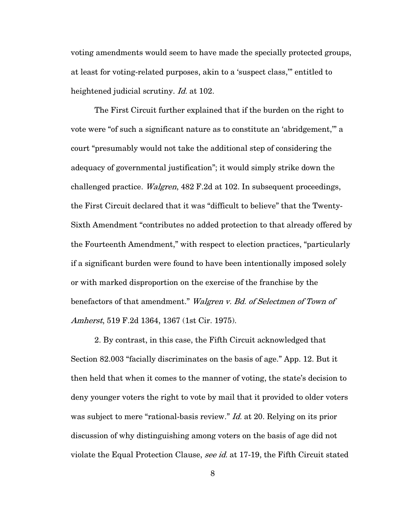voting amendments would seem to have made the specially protected groups, at least for voting-related purposes, akin to a 'suspect class,'" entitled to heightened judicial scrutiny. *Id.* at 102.

The First Circuit further explained that if the burden on the right to vote were "of such a significant nature as to constitute an 'abridgement,'" a court "presumably would not take the additional step of considering the adequacy of governmental justification"; it would simply strike down the challenged practice. *Walgren*, 482 F.2d at 102. In subsequent proceedings, the First Circuit declared that it was "difficult to believe" that the Twenty-Sixth Amendment "contributes no added protection to that already offered by the Fourteenth Amendment," with respect to election practices, "particularly if a significant burden were found to have been intentionally imposed solely or with marked disproportion on the exercise of the franchise by the benefactors of that amendment." Walgren v. Bd. of Selectmen of Town of Amherst, 519 F.2d 1364, 1367 (1st Cir. 1975).

2. By contrast, in this case, the Fifth Circuit acknowledged that Section 82.003 "facially discriminates on the basis of age." App. 12. But it then held that when it comes to the manner of voting, the state's decision to deny younger voters the right to vote by mail that it provided to older voters was subject to mere "rational-basis review." *Id.* at 20. Relying on its prior discussion of why distinguishing among voters on the basis of age did not violate the Equal Protection Clause, see id. at 17-19, the Fifth Circuit stated

8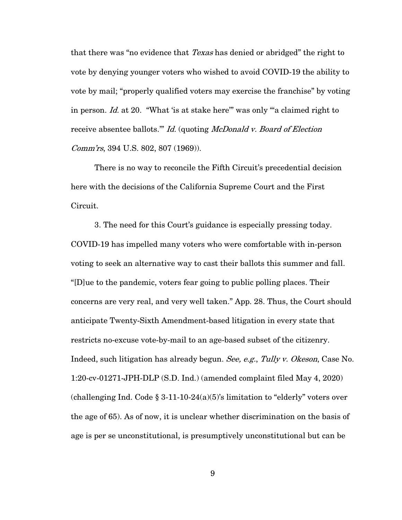that there was "no evidence that *Texas* has denied or abridged" the right to vote by denying younger voters who wished to avoid COVID-19 the ability to vote by mail; "properly qualified voters may exercise the franchise" by voting in person. Id. at 20. "What 'is at stake here'" was only "'a claimed right to receive absentee ballots." Id. (quoting McDonald v. Board of Election Comm'rs, 394 U.S. 802, 807 (1969)).

There is no way to reconcile the Fifth Circuit's precedential decision here with the decisions of the California Supreme Court and the First Circuit.

3. The need for this Court's guidance is especially pressing today. COVID-19 has impelled many voters who were comfortable with in-person voting to seek an alternative way to cast their ballots this summer and fall. "[D]ue to the pandemic, voters fear going to public polling places. Their concerns are very real, and very well taken." App. 28. Thus, the Court should anticipate Twenty-Sixth Amendment-based litigation in every state that restricts no-excuse vote-by-mail to an age-based subset of the citizenry. Indeed, such litigation has already begun. See, e.g., Tully v. Okeson, Case No. 1:20-cv-01271-JPH-DLP (S.D. Ind.) (amended complaint filed May 4, 2020) (challenging Ind. Code  $\S 3-11-10-24(a)(5)$ 's limitation to "elderly" voters over the age of 65). As of now, it is unclear whether discrimination on the basis of age is per se unconstitutional, is presumptively unconstitutional but can be

9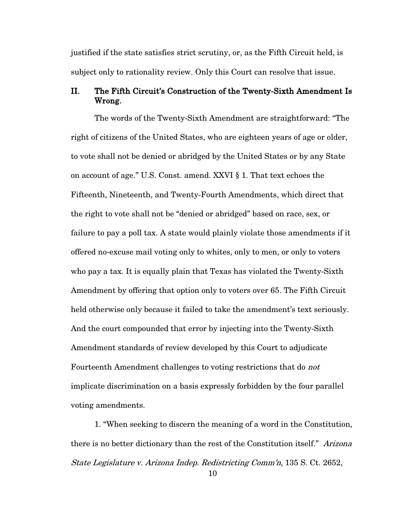justified if the state satisfies strict scrutiny, or, as the Fifth Circuit held, is subject only to rationality review. Only this Court can resolve that issue.

### II. The Fifth Circuit's Construction of the Twenty-Sixth Amendment Is Wrong.

The words of the Twenty-Sixth Amendment are straightforward: "The right of citizens of the United States, who are eighteen years of age or older, to vote shall not be denied or abridged by the United States or by any State on account of age." U.S. Const. amend. XXVI § 1. That text echoes the Fifteenth, Nineteenth, and Twenty-Fourth Amendments, which direct that the right to vote shall not be "denied or abridged" based on race, sex, or failure to pay a poll tax. A state would plainly violate those amendments if it offered no-excuse mail voting only to whites, only to men, or only to voters who pay a tax. It is equally plain that Texas has violated the Twenty-Sixth Amendment by offering that option only to voters over 65. The Fifth Circuit held otherwise only because it failed to take the amendment's text seriously. And the court compounded that error by injecting into the Twenty-Sixth Amendment standards of review developed by this Court to adjudicate Fourteenth Amendment challenges to voting restrictions that do not implicate discrimination on a basis expressly forbidden by the four parallel voting amendments.

1. "When seeking to discern the meaning of a word in the Constitution, there is no better dictionary than the rest of the Constitution itself." Arizona State Legislature v. Arizona Indep. Redistricting Comm'n, 135 S. Ct. 2652,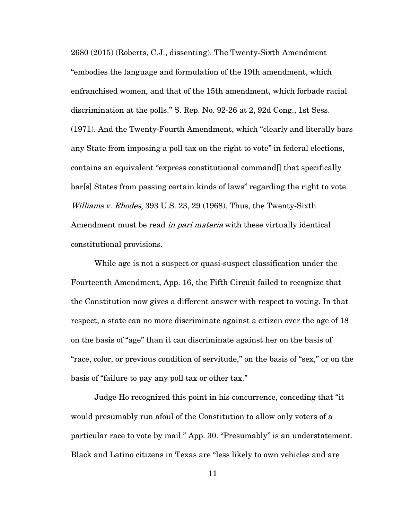2680 (2015) (Roberts, C.J., dissenting). The Twenty-Sixth Amendment "embodies the language and formulation of the 19th amendment, which enfranchised women, and that of the 15th amendment, which forbade racial discrimination at the polls." S. Rep. No. 92-26 at 2, 92d Cong., 1st Sess. (1971). And the Twenty-Fourth Amendment, which "clearly and literally bars any State from imposing a poll tax on the right to vote" in federal elections, contains an equivalent "express constitutional command[] that specifically bar[s] States from passing certain kinds of laws" regarding the right to vote. Williams v. Rhodes, 393 U.S. 23, 29 (1968). Thus, the Twenty-Sixth Amendment must be read *in pari materia* with these virtually identical constitutional provisions.

While age is not a suspect or quasi-suspect classification under the Fourteenth Amendment, App. 16, the Fifth Circuit failed to recognize that the Constitution now gives a different answer with respect to voting. In that respect, a state can no more discriminate against a citizen over the age of 18 on the basis of "age" than it can discriminate against her on the basis of "race, color, or previous condition of servitude," on the basis of "sex," or on the basis of "failure to pay any poll tax or other tax."

Judge Ho recognized this point in his concurrence, conceding that "it would presumably run afoul of the Constitution to allow only voters of a particular race to vote by mail." App. 30. "Presumably" is an understatement. Black and Latino citizens in Texas are "less likely to own vehicles and are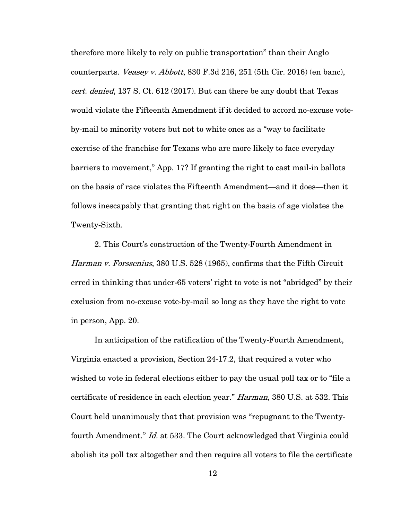therefore more likely to rely on public transportation" than their Anglo counterparts. Veasey v. Abbott,  $830$  F.3d  $216$ ,  $251$  (5th Cir. 2016) (en banc), cert. denied, 137 S. Ct. 612 (2017). But can there be any doubt that Texas would violate the Fifteenth Amendment if it decided to accord no-excuse voteby-mail to minority voters but not to white ones as a "way to facilitate exercise of the franchise for Texans who are more likely to face everyday barriers to movement," App. 17? If granting the right to cast mail-in ballots on the basis of race violates the Fifteenth Amendment—and it does—then it follows inescapably that granting that right on the basis of age violates the Twenty-Sixth.

2. This Court's construction of the Twenty-Fourth Amendment in Harman v. Forssenius, 380 U.S. 528 (1965), confirms that the Fifth Circuit erred in thinking that under-65 voters' right to vote is not "abridged" by their exclusion from no-excuse vote-by-mail so long as they have the right to vote in person, App. 20.

In anticipation of the ratification of the Twenty-Fourth Amendment, Virginia enacted a provision, Section 24-17.2, that required a voter who wished to vote in federal elections either to pay the usual poll tax or to "file a certificate of residence in each election year." Harman, 380 U.S. at 532. This Court held unanimously that that provision was "repugnant to the Twentyfourth Amendment." *Id.* at 533. The Court acknowledged that Virginia could abolish its poll tax altogether and then require all voters to file the certificate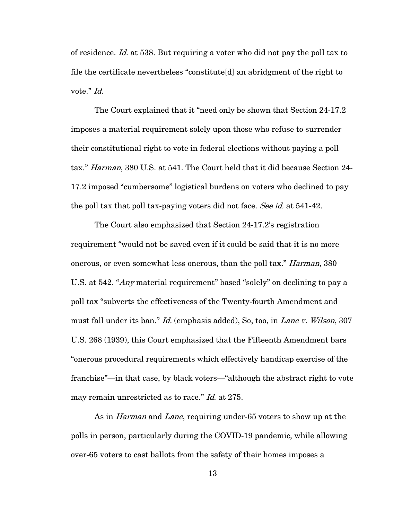of residence. Id. at 538. But requiring a voter who did not pay the poll tax to file the certificate nevertheless "constitute[d] an abridgment of the right to vote." Id.

The Court explained that it "need only be shown that Section 24-17.2 imposes a material requirement solely upon those who refuse to surrender their constitutional right to vote in federal elections without paying a poll tax." Harman, 380 U.S. at 541. The Court held that it did because Section 24- 17.2 imposed "cumbersome" logistical burdens on voters who declined to pay the poll tax that poll tax-paying voters did not face. See id. at 541-42.

The Court also emphasized that Section 24-17.2's registration requirement "would not be saved even if it could be said that it is no more onerous, or even somewhat less onerous, than the poll tax." Harman, 380 U.S. at 542. "Any material requirement" based "solely" on declining to pay a poll tax "subverts the effectiveness of the Twenty-fourth Amendment and must fall under its ban." *Id.* (emphasis added), So, too, in *Lane v. Wilson*, 307 U.S. 268 (1939), this Court emphasized that the Fifteenth Amendment bars "onerous procedural requirements which effectively handicap exercise of the franchise"—in that case, by black voters—"although the abstract right to vote may remain unrestricted as to race." *Id.* at 275.

As in *Harman* and *Lane*, requiring under-65 voters to show up at the polls in person, particularly during the COVID-19 pandemic, while allowing over-65 voters to cast ballots from the safety of their homes imposes a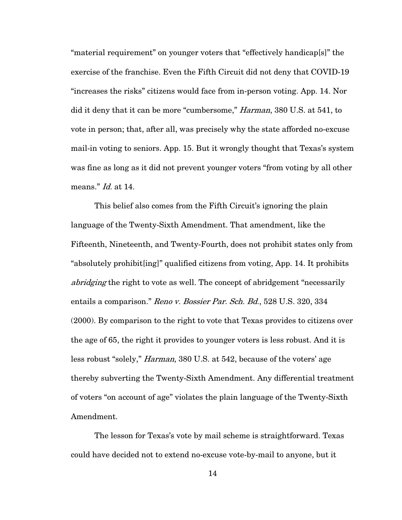"material requirement" on younger voters that "effectively handicap[s]" the exercise of the franchise. Even the Fifth Circuit did not deny that COVID-19 "increases the risks" citizens would face from in-person voting. App. 14. Nor did it deny that it can be more "cumbersome," Harman, 380 U.S. at 541, to vote in person; that, after all, was precisely why the state afforded no-excuse mail-in voting to seniors. App. 15. But it wrongly thought that Texas's system was fine as long as it did not prevent younger voters "from voting by all other means." Id. at 14.

This belief also comes from the Fifth Circuit's ignoring the plain language of the Twenty-Sixth Amendment. That amendment, like the Fifteenth, Nineteenth, and Twenty-Fourth, does not prohibit states only from "absolutely prohibit[ing]" qualified citizens from voting, App. 14. It prohibits abridging the right to vote as well. The concept of abridgement "necessarily" entails a comparison." Reno v. Bossier Par. Sch. Bd., 528 U.S. 320, 334 (2000). By comparison to the right to vote that Texas provides to citizens over the age of 65, the right it provides to younger voters is less robust. And it is less robust "solely," *Harman*, 380 U.S. at 542, because of the voters' age thereby subverting the Twenty-Sixth Amendment. Any differential treatment of voters "on account of age" violates the plain language of the Twenty-Sixth Amendment.

The lesson for Texas's vote by mail scheme is straightforward. Texas could have decided not to extend no-excuse vote-by-mail to anyone, but it

14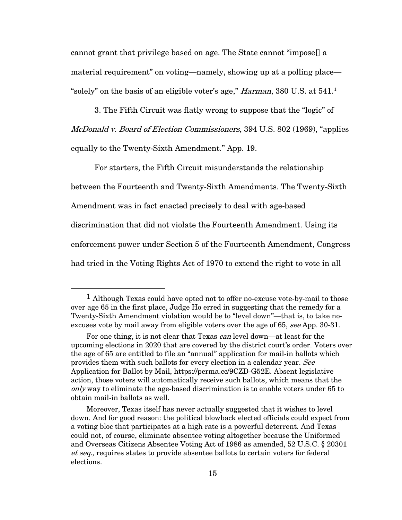cannot grant that privilege based on age. The State cannot "impose[] a material requirement" on voting—namely, showing up at a polling place— "solely" on the basis of an eligible voter's age," *Harman*, 380 U.S. at 54[1](#page-20-0).<sup>1</sup>

3. The Fifth Circuit was flatly wrong to suppose that the "logic" of McDonald v. Board of Election Commissioners, 394 U.S. 802 (1969), "applies equally to the Twenty-Sixth Amendment." App. 19.

For starters, the Fifth Circuit misunderstands the relationship between the Fourteenth and Twenty-Sixth Amendments. The Twenty-Sixth Amendment was in fact enacted precisely to deal with age-based discrimination that did not violate the Fourteenth Amendment. Using its enforcement power under Section 5 of the Fourteenth Amendment, Congress had tried in the Voting Rights Act of 1970 to extend the right to vote in all

<span id="page-20-0"></span><sup>1</sup> Although Texas could have opted not to offer no-excuse vote-by-mail to those over age 65 in the first place, Judge Ho erred in suggesting that the remedy for a Twenty-Sixth Amendment violation would be to "level down"—that is, to take noexcuses vote by mail away from eligible voters over the age of 65, see App. 30-31.

For one thing, it is not clear that Texas can level down—at least for the upcoming elections in 2020 that are covered by the district court's order. Voters over the age of 65 are entitled to file an "annual" application for mail-in ballots which provides them with such ballots for every election in a calendar year. See Application for Ballot by Mail, https://perma.cc/9CZD-G52E. Absent legislative action, those voters will automatically receive such ballots, which means that the only way to eliminate the age-based discrimination is to enable voters under 65 to obtain mail-in ballots as well.

Moreover, Texas itself has never actually suggested that it wishes to level down. And for good reason: the political blowback elected officials could expect from a voting bloc that participates at a high rate is a powerful deterrent. And Texas could not, of course, eliminate absentee voting altogether because the Uniformed and Overseas Citizens Absentee Voting Act of 1986 as amended, 52 U.S.C. § 20301 et seq., requires states to provide absentee ballots to certain voters for federal elections.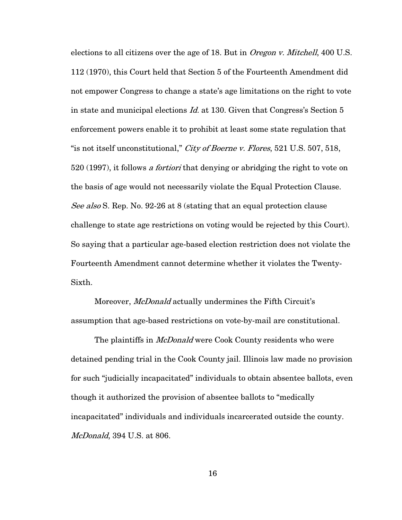elections to all citizens over the age of 18. But in *Oregon v. Mitchell*, 400 U.S. 112 (1970), this Court held that Section 5 of the Fourteenth Amendment did not empower Congress to change a state's age limitations on the right to vote in state and municipal elections *Id.* at 130. Given that Congress's Section 5 enforcement powers enable it to prohibit at least some state regulation that "is not itself unconstitutional," City of Boerne v. Flores, 521 U.S. 507, 518, 520 (1997), it follows *a fortiori* that denying or abridging the right to vote on the basis of age would not necessarily violate the Equal Protection Clause. See also S. Rep. No. 92-26 at 8 (stating that an equal protection clause challenge to state age restrictions on voting would be rejected by this Court). So saying that a particular age-based election restriction does not violate the Fourteenth Amendment cannot determine whether it violates the Twenty-Sixth.

Moreover, *McDonald* actually undermines the Fifth Circuit's assumption that age-based restrictions on vote-by-mail are constitutional.

The plaintiffs in *McDonald* were Cook County residents who were detained pending trial in the Cook County jail. Illinois law made no provision for such "judicially incapacitated" individuals to obtain absentee ballots, even though it authorized the provision of absentee ballots to "medically incapacitated" individuals and individuals incarcerated outside the county. McDonald, 394 U.S. at 806.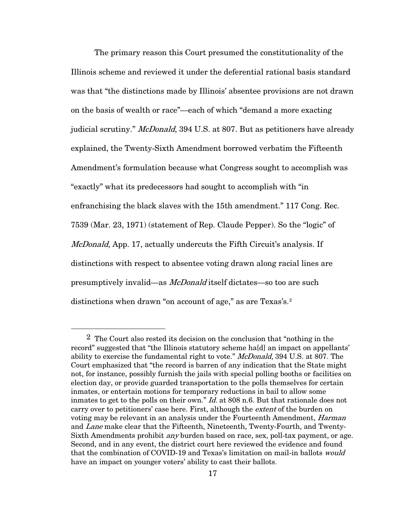The primary reason this Court presumed the constitutionality of the Illinois scheme and reviewed it under the deferential rational basis standard was that "the distinctions made by Illinois' absentee provisions are not drawn on the basis of wealth or race"—each of which "demand a more exacting judicial scrutiny." McDonald, 394 U.S. at 807. But as petitioners have already explained, the Twenty-Sixth Amendment borrowed verbatim the Fifteenth Amendment's formulation because what Congress sought to accomplish was "exactly" what its predecessors had sought to accomplish with "in enfranchising the black slaves with the 15th amendment." 117 Cong. Rec. 7539 (Mar. 23, 1971) (statement of Rep. Claude Pepper). So the "logic" of *McDonald*, App. 17, actually undercuts the Fifth Circuit's analysis. If distinctions with respect to absentee voting drawn along racial lines are presumptively invalid—as McDonald itself dictates—so too are such distinctions when drawn "on account of age," as are Texas's.<sup>[2](#page-22-0)</sup>

<span id="page-22-0"></span><sup>2</sup> The Court also rested its decision on the conclusion that "nothing in the record" suggested that "the Illinois statutory scheme ha[d] an impact on appellants' ability to exercise the fundamental right to vote." McDonald, 394 U.S. at 807. The Court emphasized that "the record is barren of any indication that the State might not, for instance, possibly furnish the jails with special polling booths or facilities on election day, or provide guarded transportation to the polls themselves for certain inmates, or entertain motions for temporary reductions in bail to allow some inmates to get to the polls on their own." *Id.* at 808 n.6. But that rationale does not carry over to petitioners' case here. First, although the *extent* of the burden on voting may be relevant in an analysis under the Fourteenth Amendment, *Harman* and Lane make clear that the Fifteenth, Nineteenth, Twenty-Fourth, and Twenty-Sixth Amendments prohibit any burden based on race, sex, poll-tax payment, or age. Second, and in any event, the district court here reviewed the evidence and found that the combination of COVID-19 and Texas's limitation on mail-in ballots would have an impact on younger voters' ability to cast their ballots.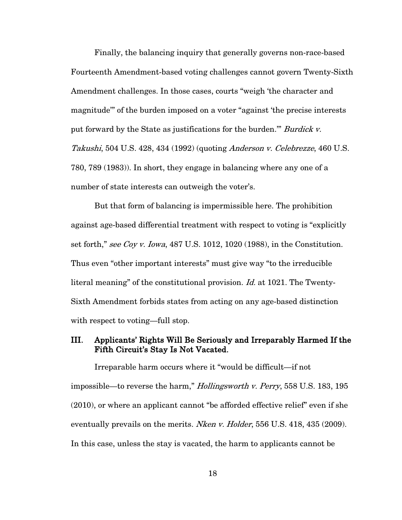Finally, the balancing inquiry that generally governs non-race-based Fourteenth Amendment-based voting challenges cannot govern Twenty-Sixth Amendment challenges. In those cases, courts "weigh 'the character and magnitude'" of the burden imposed on a voter "against 'the precise interests put forward by the State as justifications for the burden." Burdick v. Takushi, 504 U.S. 428, 434 (1992) (quoting Anderson v. Celebrezze, 460 U.S. 780, 789 (1983)). In short, they engage in balancing where any one of a number of state interests can outweigh the voter's.

But that form of balancing is impermissible here. The prohibition against age-based differential treatment with respect to voting is "explicitly set forth," see Coy v. Iowa,  $487$  U.S. 1012, 1020 (1988), in the Constitution. Thus even "other important interests" must give way "to the irreducible literal meaning" of the constitutional provision. Id. at 1021. The Twenty-Sixth Amendment forbids states from acting on any age-based distinction with respect to voting—full stop.

### III. Applicants' Rights Will Be Seriously and Irreparably Harmed If the Fifth Circuit's Stay Is Not Vacated.

Irreparable harm occurs where it "would be difficult—if not impossible—to reverse the harm," *Hollingsworth v. Perry*, 558 U.S. 183, 195 (2010), or where an applicant cannot "be afforded effective relief" even if she eventually prevails on the merits. *Nken v. Holder*, 556 U.S. 418, 435 (2009). In this case, unless the stay is vacated, the harm to applicants cannot be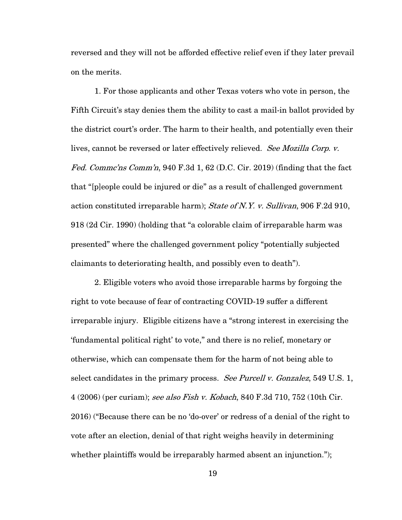reversed and they will not be afforded effective relief even if they later prevail on the merits.

1. For those applicants and other Texas voters who vote in person, the Fifth Circuit's stay denies them the ability to cast a mail-in ballot provided by the district court's order. The harm to their health, and potentially even their lives, cannot be reversed or later effectively relieved. See Mozilla Corp. v. Fed. Comma'ns Comm'n, 940 F.3d 1, 62 (D.C. Cir. 2019) (finding that the fact that "[p]eople could be injured or die" as a result of challenged government action constituted irreparable harm); State of N.Y. v. Sullivan, 906 F.2d 910, 918 (2d Cir. 1990) (holding that "a colorable claim of irreparable harm was presented" where the challenged government policy "potentially subjected claimants to deteriorating health, and possibly even to death").

2. Eligible voters who avoid those irreparable harms by forgoing the right to vote because of fear of contracting COVID-19 suffer a different irreparable injury. Eligible citizens have a "strong interest in exercising the 'fundamental political right' to vote," and there is no relief, monetary or otherwise, which can compensate them for the harm of not being able to select candidates in the primary process. See Purcell v. Gonzalez, 549 U.S. 1, 4 (2006) (per curiam); see also Fish v. Kobach, 840 F.3d 710, 752 (10th Cir. 2016) ("Because there can be no 'do-over' or redress of a denial of the right to vote after an election, denial of that right weighs heavily in determining whether plaintiffs would be irreparably harmed absent an injunction.");

19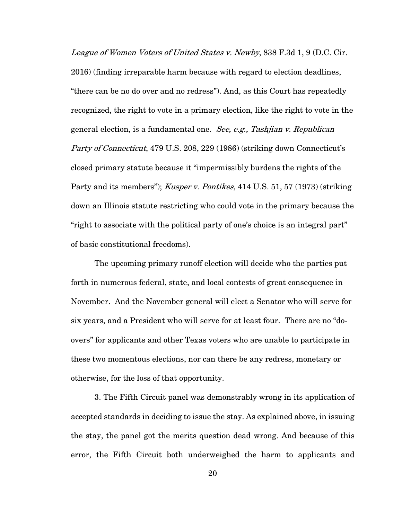League of Women Voters of United States v. Newby, 838 F.3d 1, 9 (D.C. Cir. 2016) (finding irreparable harm because with regard to election deadlines, "there can be no do over and no redress"). And, as this Court has repeatedly recognized, the right to vote in a primary election, like the right to vote in the general election, is a fundamental one. See, e.g., Tashjian v. Republican Party of Connecticut, 479 U.S. 208, 229 (1986) (striking down Connecticut's closed primary statute because it "impermissibly burdens the rights of the Party and its members"); Kusper v. Pontikes, 414 U.S. 51, 57 (1973) (striking down an Illinois statute restricting who could vote in the primary because the "right to associate with the political party of one's choice is an integral part" of basic constitutional freedoms).

The upcoming primary runoff election will decide who the parties put forth in numerous federal, state, and local contests of great consequence in November. And the November general will elect a Senator who will serve for six years, and a President who will serve for at least four. There are no "doovers" for applicants and other Texas voters who are unable to participate in these two momentous elections, nor can there be any redress, monetary or otherwise, for the loss of that opportunity.

3. The Fifth Circuit panel was demonstrably wrong in its application of accepted standards in deciding to issue the stay. As explained above, in issuing the stay, the panel got the merits question dead wrong. And because of this error, the Fifth Circuit both underweighed the harm to applicants and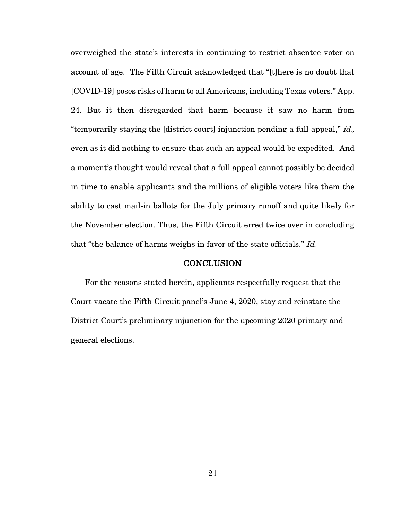overweighed the state's interests in continuing to restrict absentee voter on account of age. The Fifth Circuit acknowledged that "[t]here is no doubt that [COVID-19] poses risks of harm to all Americans, including Texas voters." App. 24. But it then disregarded that harm because it saw no harm from "temporarily staying the [district court] injunction pending a full appeal," id., even as it did nothing to ensure that such an appeal would be expedited. And a moment's thought would reveal that a full appeal cannot possibly be decided in time to enable applicants and the millions of eligible voters like them the ability to cast mail-in ballots for the July primary runoff and quite likely for the November election. Thus, the Fifth Circuit erred twice over in concluding that "the balance of harms weighs in favor of the state officials." Id.

### **CONCLUSION**

For the reasons stated herein, applicants respectfully request that the Court vacate the Fifth Circuit panel's June 4, 2020, stay and reinstate the District Court's preliminary injunction for the upcoming 2020 primary and general elections.